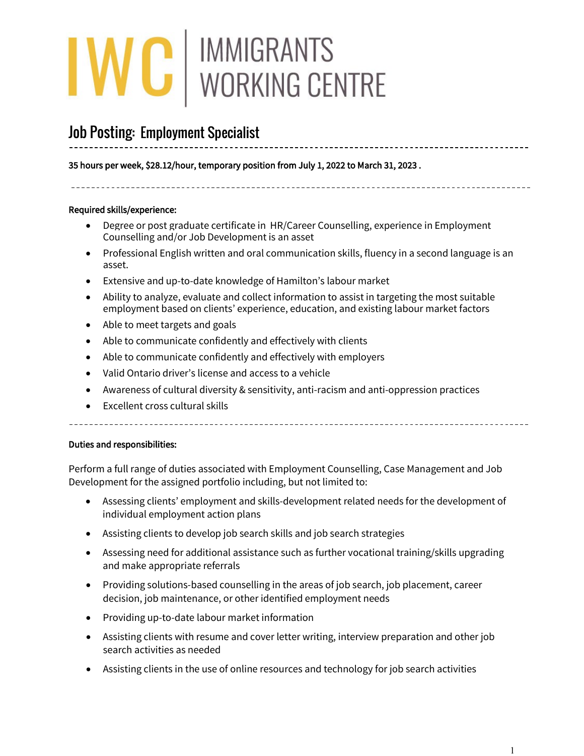# IWC | IMMIGRANTS<br>
WORKING CENTRE

## Job Posting: Employment Specialist

35 hours per week, \$28.12/hour, temporary position from July 1, 2022 to March 31, 2023 .

### Required skills/experience:

**.** 

- Degree or post graduate certificate in HR/Career Counselling, experience in Employment Counselling and/or Job Development is an asset
- Professional English written and oral communication skills, fluency in a second language is an asset.

- Extensive and up-to-date knowledge of Hamilton's labour market
- Ability to analyze, evaluate and collect information to assist in targeting the most suitable employment based on clients' experience, education, and existing labour market factors
- Able to meet targets and goals
- Able to communicate confidently and effectively with clients
- Able to communicate confidently and effectively with employers
- Valid Ontario driver's license and access to a vehicle
- Awareness of cultural diversity & sensitivity, anti-racism and anti-oppression practices
- Excellent cross cultural skills

\_\_\_\_\_\_\_\_\_\_\_\_\_\_\_\_\_\_\_\_\_\_\_\_\_

### Duties and responsibilities:

Perform a full range of duties associated with Employment Counselling, Case Management and Job Development for the assigned portfolio including, but not limited to:

- Assessing clients' employment and skills-development related needs for the development of individual employment action plans
- Assisting clients to develop job search skills and job search strategies
- Assessing need for additional assistance such as further vocational training/skills upgrading and make appropriate referrals
- Providing solutions-based counselling in the areas of job search, job placement, career decision, job maintenance, or other identified employment needs
- Providing up-to-date labour market information
- Assisting clients with resume and cover letter writing, interview preparation and other job search activities as needed
- Assisting clients in the use of online resources and technology for job search activities